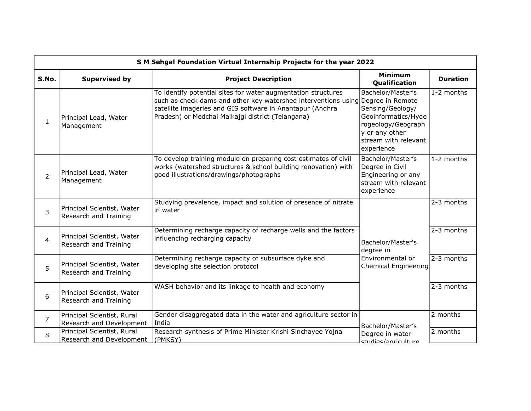| S M Sehgal Foundation Virtual Internship Projects for the year 2022 |                                                        |                                                                                                                                                                                                                                                                    |                                                                                                                                            |                 |  |
|---------------------------------------------------------------------|--------------------------------------------------------|--------------------------------------------------------------------------------------------------------------------------------------------------------------------------------------------------------------------------------------------------------------------|--------------------------------------------------------------------------------------------------------------------------------------------|-----------------|--|
| S.No.                                                               | <b>Supervised by</b>                                   | <b>Project Description</b>                                                                                                                                                                                                                                         | <b>Minimum</b><br>Qualification                                                                                                            | <b>Duration</b> |  |
| $\mathbf{1}$                                                        | Principal Lead, Water<br>Management                    | To identify potential sites for water augmentation structures<br>such as check dams and other key watershed interventions using Degree in Remote<br>satellite imageries and GIS software in Anantapur (Andhra<br>Pradesh) or Medchal Malkajgi district (Telangana) | Bachelor/Master's<br>Sensing/Geology/<br>Geoinformatics/Hyde<br>rogeology/Geograph<br>y or any other<br>stream with relevant<br>experience | 1-2 months      |  |
| $\overline{2}$                                                      | Principal Lead, Water<br>Management                    | To develop training module on preparing cost estimates of civil<br>works (watershed structures & school building renovation) with<br>good illustrations/drawings/photographs                                                                                       | Bachelor/Master's<br>Degree in Civil<br>Engineering or any<br>stream with relevant<br>experience                                           | 1-2 months      |  |
| 3                                                                   | Principal Scientist, Water<br>Research and Training    | Studying prevalence, impact and solution of presence of nitrate<br>in water                                                                                                                                                                                        |                                                                                                                                            | 2-3 months      |  |
| $\overline{4}$                                                      | Principal Scientist, Water<br>Research and Training    | Determining recharge capacity of recharge wells and the factors<br>influencing recharging capacity                                                                                                                                                                 | Bachelor/Master's<br>degree in                                                                                                             | 2-3 months      |  |
| 5                                                                   | Principal Scientist, Water<br>Research and Training    | Determining recharge capacity of subsurface dyke and<br>developing site selection protocol                                                                                                                                                                         | Environmental or<br><b>Chemical Engineering</b>                                                                                            | 2-3 months      |  |
| 6                                                                   | Principal Scientist, Water<br>Research and Training    | WASH behavior and its linkage to health and economy                                                                                                                                                                                                                |                                                                                                                                            | 2-3 months      |  |
| $\overline{7}$                                                      | Principal Scientist, Rural<br>Research and Development | Gender disaggregated data in the water and agriculture sector in<br>India                                                                                                                                                                                          | Bachelor/Master's                                                                                                                          | 2 months        |  |
| 8                                                                   | Principal Scientist, Rural<br>Research and Development | Research synthesis of Prime Minister Krishi Sinchayee Yojna<br>(PMKSY)                                                                                                                                                                                             | Degree in water<br>studies/agriculture                                                                                                     | 2 months        |  |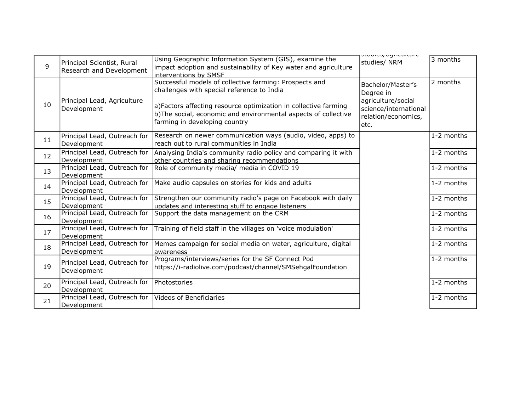|    |                                                      |                                                                                               | ucuuncu) uymcuncunc   |            |
|----|------------------------------------------------------|-----------------------------------------------------------------------------------------------|-----------------------|------------|
| 9  | Principal Scientist, Rural                           | Using Geographic Information System (GIS), examine the                                        | studies/ NRM          | 3 months   |
|    | Research and Development                             | impact adoption and sustainability of Key water and agriculture<br>interventions by SMSF      |                       |            |
|    |                                                      | Successful models of collective farming: Prospects and                                        |                       | 2 months   |
|    |                                                      | challenges with special reference to India                                                    | Bachelor/Master's     |            |
|    | Principal Lead, Agriculture<br>Development           |                                                                                               | Degree in             |            |
| 10 |                                                      | a)Factors affecting resource optimization in collective farming                               | agriculture/social    |            |
|    |                                                      | b)The social, economic and environmental aspects of collective                                | science/international |            |
|    |                                                      | farming in developing country                                                                 | relation/economics,   |            |
|    |                                                      |                                                                                               | etc.                  |            |
| 11 | Principal Lead, Outreach for                         | Research on newer communication ways (audio, video, apps) to                                  |                       | 1-2 months |
|    | Development                                          | reach out to rural communities in India                                                       |                       |            |
| 12 |                                                      | Principal Lead, Outreach for   Analysing India's community radio policy and comparing it with |                       | 1-2 months |
|    | Development                                          | other countries and sharing recommendations                                                   |                       |            |
| 13 |                                                      | Principal Lead, Outreach for Role of community media/ media in COVID 19                       |                       | 1-2 months |
|    | Development                                          |                                                                                               |                       |            |
| 14 |                                                      | Principal Lead, Outreach for   Make audio capsules on stories for kids and adults             |                       | 1-2 months |
|    | Development                                          |                                                                                               |                       |            |
| 15 |                                                      | Principal Lead, Outreach for Strengthen our community radio's page on Facebook with daily     |                       | 1-2 months |
|    | Development                                          | updates and interesting stuff to engage listeners                                             |                       |            |
| 16 | Principal Lead, Outreach for                         | Support the data management on the CRM                                                        |                       | 1-2 months |
|    | Development                                          |                                                                                               |                       |            |
| 17 | Principal Lead, Outreach for<br>Development          | Training of field staff in the villages on 'voice modulation'                                 |                       | 1-2 months |
|    | Principal Lead, Outreach for                         | Memes campaign for social media on water, agriculture, digital                                |                       | 1-2 months |
| 18 | Development                                          | awareness                                                                                     |                       |            |
|    |                                                      | Programs/interviews/series for the SF Connect Pod                                             |                       | 1-2 months |
| 19 | Principal Lead, Outreach for                         | https://i-radiolive.com/podcast/channel/SMSehgalFoundation                                    |                       |            |
|    | Development                                          |                                                                                               |                       |            |
| 20 | Principal Lead, Outreach for Photostories            |                                                                                               |                       | 1-2 months |
|    | Development                                          |                                                                                               |                       |            |
| 21 | Principal Lead, Outreach for Videos of Beneficiaries |                                                                                               |                       | 1-2 months |
|    | Development                                          |                                                                                               |                       |            |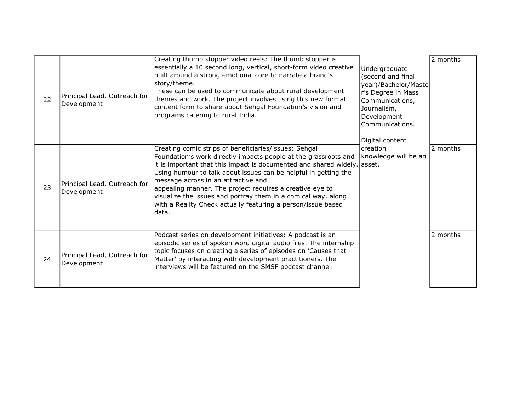| 22 | Principal Lead, Outreach for<br>Development | Creating thumb stopper video reels: The thumb stopper is<br>essentially a 10 second long, vertical, short-form video creative<br>built around a strong emotional core to narrate a brand's<br>story/theme.<br>These can be used to communicate about rural development<br>themes and work. The project involves using this new format<br>content form to share about Sehgal Foundation's vision and<br>programs catering to rural India.                                                                             | Undergraduate<br>(second and final<br>year)/Bachelor/Maste<br>r's Degree in Mass<br>Communications,<br>Journalism,<br>Development<br>Communications.<br>Digital content<br>creation<br>knowledge will be an | 2 months |
|----|---------------------------------------------|----------------------------------------------------------------------------------------------------------------------------------------------------------------------------------------------------------------------------------------------------------------------------------------------------------------------------------------------------------------------------------------------------------------------------------------------------------------------------------------------------------------------|-------------------------------------------------------------------------------------------------------------------------------------------------------------------------------------------------------------|----------|
| 23 | Principal Lead, Outreach for<br>Development | Creating comic strips of beneficiaries/issues: Sehgal<br>Foundation's work directly impacts people at the grassroots and<br>it is important that this impact is documented and shared widely. asset.<br>Using humour to talk about issues can be helpful in getting the<br>message across in an attractive and<br>appealing manner. The project requires a creative eye to<br>visualize the issues and portray them in a comical way, along<br>with a Reality Check actually featuring a person/issue based<br>data. |                                                                                                                                                                                                             | 2 months |
| 24 | Principal Lead, Outreach for<br>Development | Podcast series on development initiatives: A podcast is an<br>episodic series of spoken word digital audio files. The internship<br>topic focuses on creating a series of episodes on 'Causes that<br>Matter' by interacting with development practitioners. The<br>interviews will be featured on the SMSF podcast channel.                                                                                                                                                                                         |                                                                                                                                                                                                             | 2 months |